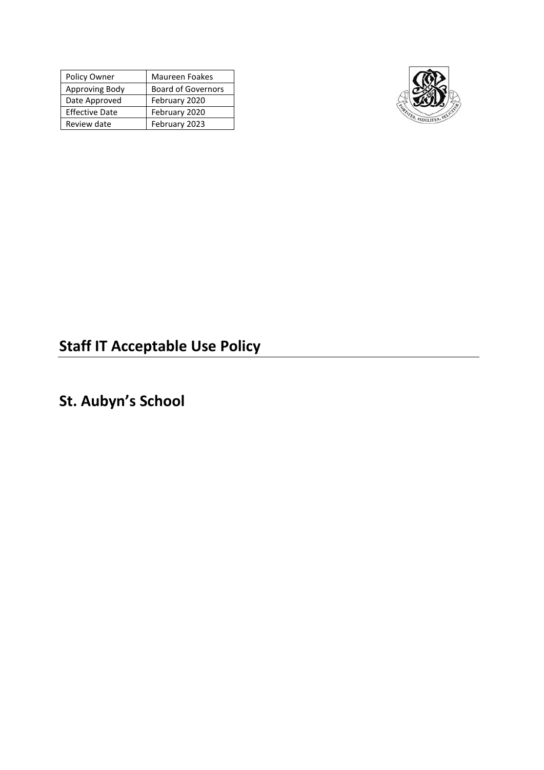| Policy Owner          | <b>Maureen Foakes</b>     |
|-----------------------|---------------------------|
| Approving Body        | <b>Board of Governors</b> |
| Date Approved         | February 2020             |
| <b>Effective Date</b> | February 2020             |
| Review date           | February 2023             |



# **Staff IT Acceptable Use Policy**

# **St. Aubyn's School**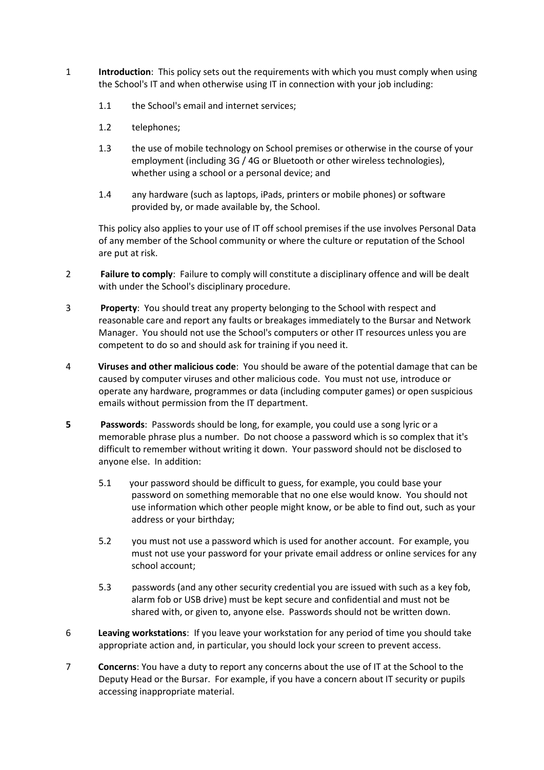- 1 **Introduction**: This policy sets out the requirements with which you must comply when using the School's IT and when otherwise using IT in connection with your job including:
	- 1.1 the School's email and internet services;
	- 1.2 telephones;
	- 1.3 the use of mobile technology on School premises or otherwise in the course of your employment (including 3G / 4G or Bluetooth or other wireless technologies), whether using a school or a personal device; and
	- 1.4 any hardware (such as laptops, iPads, printers or mobile phones) or software provided by, or made available by, the School.

This policy also applies to your use of IT off school premises if the use involves Personal Data of any member of the School community or where the culture or reputation of the School are put at risk.

- 2 **Failure to comply**: Failure to comply will constitute a disciplinary offence and will be dealt with under the School's disciplinary procedure.
- 3 **Property**: You should treat any property belonging to the School with respect and reasonable care and report any faults or breakages immediately to the Bursar and Network Manager. You should not use the School's computers or other IT resources unless you are competent to do so and should ask for training if you need it.
- 4 **Viruses and other malicious code**: You should be aware of the potential damage that can be caused by computer viruses and other malicious code. You must not use, introduce or operate any hardware, programmes or data (including computer games) or open suspicious emails without permission from the IT department.
- **5 Passwords**: Passwords should be long, for example, you could use a song lyric or a memorable phrase plus a number. Do not choose a password which is so complex that it's difficult to remember without writing it down. Your password should not be disclosed to anyone else. In addition:
	- 5.1 your password should be difficult to guess, for example, you could base your password on something memorable that no one else would know. You should not use information which other people might know, or be able to find out, such as your address or your birthday;
	- 5.2 you must not use a password which is used for another account. For example, you must not use your password for your private email address or online services for any school account;
	- 5.3 passwords (and any other security credential you are issued with such as a key fob, alarm fob or USB drive) must be kept secure and confidential and must not be shared with, or given to, anyone else. Passwords should not be written down.
- 6 **Leaving workstations**: If you leave your workstation for any period of time you should take appropriate action and, in particular, you should lock your screen to prevent access.
- 7 **Concerns**: You have a duty to report any concerns about the use of IT at the School to the Deputy Head or the Bursar. For example, if you have a concern about IT security or pupils accessing inappropriate material.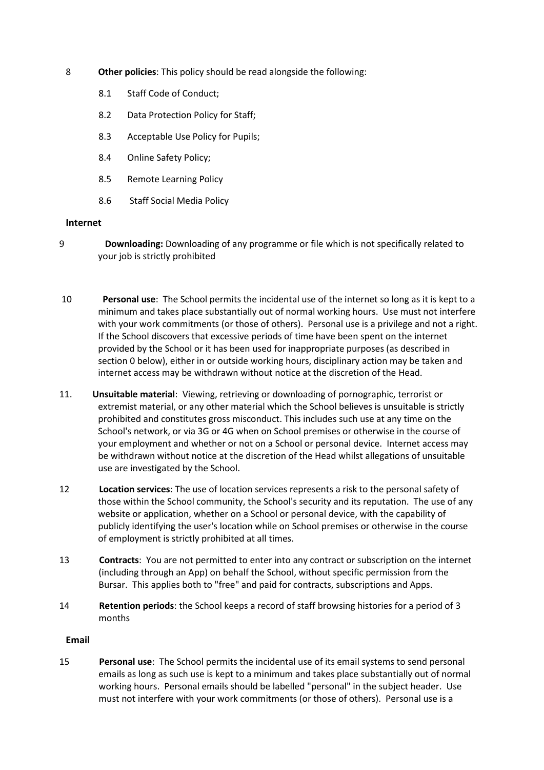- 8 **Other policies**: This policy should be read alongside the following:
	- 8.1 Staff Code of Conduct;
	- 8.2 Data Protection Policy for Staff;
	- 8.3 Acceptable Use Policy for Pupils;
	- 8.4 Online Safety Policy;
	- 8.5 Remote Learning Policy
	- 8.6 Staff Social Media Policy

### **Internet**

- 9 **Downloading:** Downloading of any programme or file which is not specifically related to your job is strictly prohibited
- 10 **Personal use**: The School permits the incidental use of the internet so long as it is kept to a minimum and takes place substantially out of normal working hours. Use must not interfere with your work commitments (or those of others). Personal use is a privilege and not a right. If the School discovers that excessive periods of time have been spent on the internet provided by the School or it has been used for inappropriate purposes (as described in section [0](#page-3-0) below), either in or outside working hours, disciplinary action may be taken and internet access may be withdrawn without notice at the discretion of the Head.
- <span id="page-3-0"></span>11. **Unsuitable material**: Viewing, retrieving or downloading of pornographic, terrorist or extremist material, or any other material which the School believes is unsuitable is strictly prohibited and constitutes gross misconduct. This includes such use at any time on the School's network, or via 3G or 4G when on School premises or otherwise in the course of your employment and whether or not on a School or personal device. Internet access may be withdrawn without notice at the discretion of the Head whilst allegations of unsuitable use are investigated by the School.
- 12 **Location services**: The use of location services represents a risk to the personal safety of those within the School community, the School's security and its reputation. The use of any website or application, whether on a School or personal device, with the capability of publicly identifying the user's location while on School premises or otherwise in the course of employment is strictly prohibited at all times.
- 13 **Contracts**: You are not permitted to enter into any contract or subscription on the internet (including through an App) on behalf the School, without specific permission from the Bursar. This applies both to "free" and paid for contracts, subscriptions and Apps.
- 14 **Retention periods**: the School keeps a record of staff browsing histories for a period of 3 months

## **Email**

15 **Personal use**: The School permits the incidental use of its email systems to send personal emails as long as such use is kept to a minimum and takes place substantially out of normal working hours. Personal emails should be labelled "personal" in the subject header. Use must not interfere with your work commitments (or those of others). Personal use is a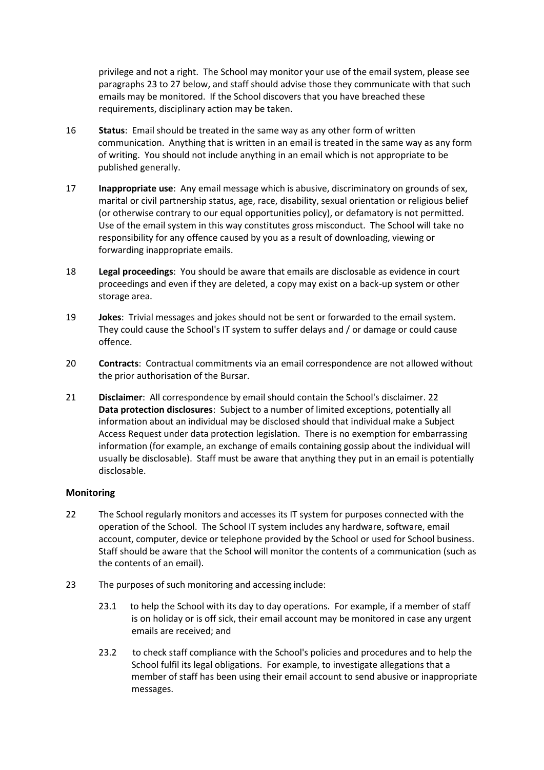privilege and not a right. The School may monitor your use of the email system, please see paragraphs 23 to 27 below, and staff should advise those they communicate with that such emails may be monitored. If the School discovers that you have breached these requirements, disciplinary action may be taken.

- 16 **Status**: Email should be treated in the same way as any other form of written communication. Anything that is written in an email is treated in the same way as any form of writing. You should not include anything in an email which is not appropriate to be published generally.
- 17 **Inappropriate use**: Any email message which is abusive, discriminatory on grounds of sex, marital or civil partnership status, age, race, disability, sexual orientation or religious belief (or otherwise contrary to our equal opportunities policy), or defamatory is not permitted. Use of the email system in this way constitutes gross misconduct. The School will take no responsibility for any offence caused by you as a result of downloading, viewing or forwarding inappropriate emails.
- 18 **Legal proceedings**: You should be aware that emails are disclosable as evidence in court proceedings and even if they are deleted, a copy may exist on a back-up system or other storage area.
- 19 **Jokes**: Trivial messages and jokes should not be sent or forwarded to the email system. They could cause the School's IT system to suffer delays and / or damage or could cause offence.
- 20 **Contracts**: Contractual commitments via an email correspondence are not allowed without the prior authorisation of the Bursar.
- 21 **Disclaimer**: All correspondence by email should contain the School's disclaimer. 22 **Data protection disclosures**: Subject to a number of limited exceptions, potentially all information about an individual may be disclosed should that individual make a Subject Access Request under data protection legislation. There is no exemption for embarrassing information (for example, an exchange of emails containing gossip about the individual will usually be disclosable). Staff must be aware that anything they put in an email is potentially disclosable.

## **Monitoring**

- 22 The School regularly monitors and accesses its IT system for purposes connected with the operation of the School. The School IT system includes any hardware, software, email account, computer, device or telephone provided by the School or used for School business. Staff should be aware that the School will monitor the contents of a communication (such as the contents of an email).
- 23 The purposes of such monitoring and accessing include:
	- 23.1 to help the School with its day to day operations. For example, if a member of staff is on holiday or is off sick, their email account may be monitored in case any urgent emails are received; and
	- 23.2 to check staff compliance with the School's policies and procedures and to help the School fulfil its legal obligations. For example, to investigate allegations that a member of staff has been using their email account to send abusive or inappropriate messages.